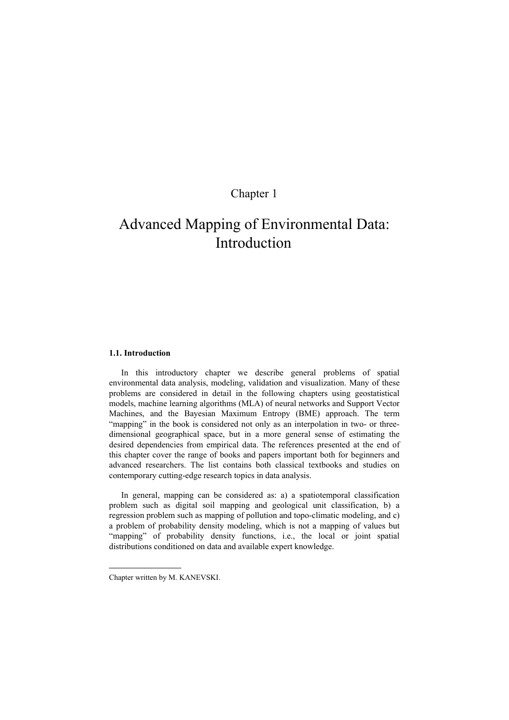# Chapter 1

# Advanced Mapping of Environmental Data: Introduction

#### **1.1. Introduction**

In this introductory chapter we describe general problems of spatial environmental data analysis, modeling, validation and visualization. Many of these problems are considered in detail in the following chapters using geostatistical models, machine learning algorithms (MLA) of neural networks and Support Vector Machines, and the Bayesian Maximum Entropy (BME) approach. The term "mapping" in the book is considered not only as an interpolation in two- or threedimensional geographical space, but in a more general sense of estimating the desired dependencies from empirical data. The references presented at the end of this chapter cover the range of books and papers important both for beginners and advanced researchers. The list contains both classical textbooks and studies on contemporary cutting-edge research topics in data analysis.

In general, mapping can be considered as: a) a spatiotemporal classification problem such as digital soil mapping and geological unit classification, b) a regression problem such as mapping of pollution and topo-climatic modeling, and c) a problem of probability density modeling, which is not a mapping of values but "mapping" of probability density functions, i.e., the local or joint spatial distributions conditioned on data and available expert knowledge.

 $\overline{a}$ 

Chapter written by M. KANEVSKI.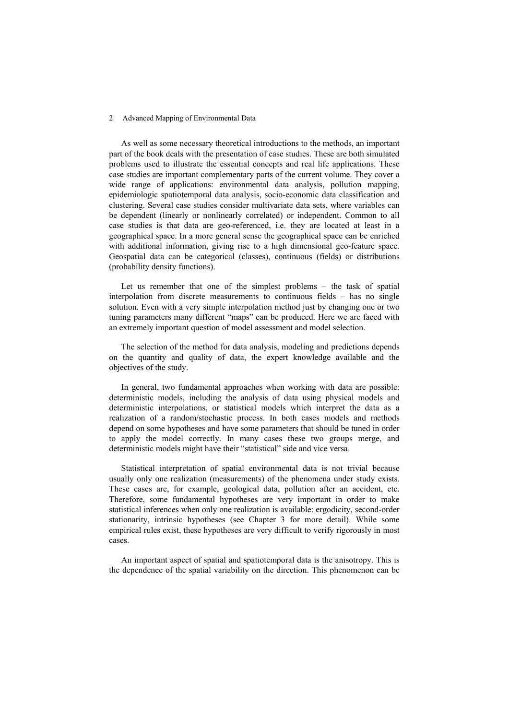As well as some necessary theoretical introductions to the methods, an important part of the book deals with the presentation of case studies. These are both simulated problems used to illustrate the essential concepts and real life applications. These case studies are important complementary parts of the current volume. They cover a wide range of applications: environmental data analysis, pollution mapping, epidemiologic spatiotemporal data analysis, socio-economic data classification and clustering. Several case studies consider multivariate data sets, where variables can be dependent (linearly or nonlinearly correlated) or independent. Common to all case studies is that data are geo-referenced, i.e. they are located at least in a geographical space. In a more general sense the geographical space can be enriched with additional information, giving rise to a high dimensional geo-feature space. Geospatial data can be categorical (classes), continuous (fields) or distributions (probability density functions).

Let us remember that one of the simplest problems – the task of spatial interpolation from discrete measurements to continuous fields – has no single solution. Even with a very simple interpolation method just by changing one or two tuning parameters many different "maps" can be produced. Here we are faced with an extremely important question of model assessment and model selection.

The selection of the method for data analysis, modeling and predictions depends on the quantity and quality of data, the expert knowledge available and the objectives of the study.

In general, two fundamental approaches when working with data are possible: deterministic models, including the analysis of data using physical models and deterministic interpolations, or statistical models which interpret the data as a realization of a random/stochastic process. In both cases models and methods depend on some hypotheses and have some parameters that should be tuned in order to apply the model correctly. In many cases these two groups merge, and deterministic models might have their "statistical" side and vice versa.

Statistical interpretation of spatial environmental data is not trivial because usually only one realization (measurements) of the phenomena under study exists. These cases are, for example, geological data, pollution after an accident, etc. Therefore, some fundamental hypotheses are very important in order to make statistical inferences when only one realization is available: ergodicity, second-order stationarity, intrinsic hypotheses (see Chapter 3 for more detail). While some empirical rules exist, these hypotheses are very difficult to verify rigorously in most cases.

An important aspect of spatial and spatiotemporal data is the anisotropy. This is the dependence of the spatial variability on the direction. This phenomenon can be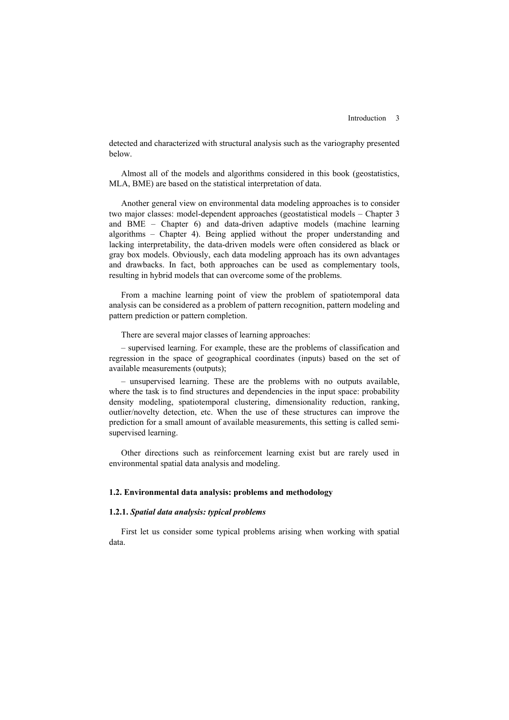detected and characterized with structural analysis such as the variography presented below.

Almost all of the models and algorithms considered in this book (geostatistics, MLA, BME) are based on the statistical interpretation of data.

Another general view on environmental data modeling approaches is to consider two major classes: model-dependent approaches (geostatistical models – Chapter 3 and BME – Chapter 6) and data-driven adaptive models (machine learning algorithms – Chapter 4). Being applied without the proper understanding and lacking interpretability, the data-driven models were often considered as black or gray box models. Obviously, each data modeling approach has its own advantages and drawbacks. In fact, both approaches can be used as complementary tools, resulting in hybrid models that can overcome some of the problems.

From a machine learning point of view the problem of spatiotemporal data analysis can be considered as a problem of pattern recognition, pattern modeling and pattern prediction or pattern completion.

There are several major classes of learning approaches:

– supervised learning. For example, these are the problems of classification and regression in the space of geographical coordinates (inputs) based on the set of available measurements (outputs);

– unsupervised learning. These are the problems with no outputs available, where the task is to find structures and dependencies in the input space: probability density modeling, spatiotemporal clustering, dimensionality reduction, ranking, outlier/novelty detection, etc. When the use of these structures can improve the prediction for a small amount of available measurements, this setting is called semisupervised learning.

Other directions such as reinforcement learning exist but are rarely used in environmental spatial data analysis and modeling.

# **1.2. Environmental data analysis: problems and methodology**

#### **1.2.1.** *Spatial data analysis: typical problems*

First let us consider some typical problems arising when working with spatial data.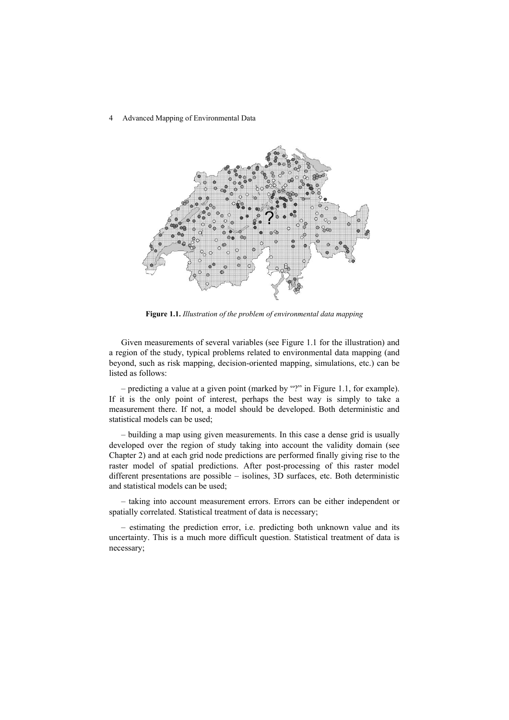

**Figure 1.1.** *Illustration of the problem of environmental data mapping*

Given measurements of several variables (see Figure 1.1 for the illustration) and a region of the study, typical problems related to environmental data mapping (and beyond, such as risk mapping, decision-oriented mapping, simulations, etc.) can be listed as follows:

– predicting a value at a given point (marked by "?" in Figure 1.1, for example). If it is the only point of interest, perhaps the best way is simply to take a measurement there. If not, a model should be developed. Both deterministic and statistical models can be used;

– building a map using given measurements. In this case a dense grid is usually developed over the region of study taking into account the validity domain (see Chapter 2) and at each grid node predictions are performed finally giving rise to the raster model of spatial predictions. After post-processing of this raster model different presentations are possible – isolines, 3D surfaces, etc. Both deterministic and statistical models can be used;

– taking into account measurement errors. Errors can be either independent or spatially correlated. Statistical treatment of data is necessary;

– estimating the prediction error, i.e. predicting both unknown value and its uncertainty. This is a much more difficult question. Statistical treatment of data is necessary;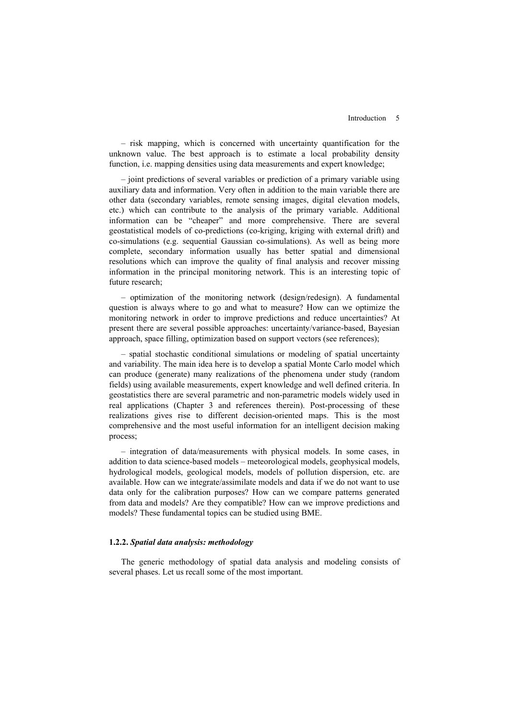– risk mapping, which is concerned with uncertainty quantification for the unknown value. The best approach is to estimate a local probability density function, i.e. mapping densities using data measurements and expert knowledge;

– joint predictions of several variables or prediction of a primary variable using auxiliary data and information. Very often in addition to the main variable there are other data (secondary variables, remote sensing images, digital elevation models, etc.) which can contribute to the analysis of the primary variable. Additional information can be "cheaper" and more comprehensive. There are several geostatistical models of co-predictions (co-kriging, kriging with external drift) and co-simulations (e.g. sequential Gaussian co-simulations). As well as being more complete, secondary information usually has better spatial and dimensional resolutions which can improve the quality of final analysis and recover missing information in the principal monitoring network. This is an interesting topic of future research;

– optimization of the monitoring network (design/redesign). A fundamental question is always where to go and what to measure? How can we optimize the monitoring network in order to improve predictions and reduce uncertainties? At present there are several possible approaches: uncertainty/variance-based, Bayesian approach, space filling, optimization based on support vectors (see references);

– spatial stochastic conditional simulations or modeling of spatial uncertainty and variability. The main idea here is to develop a spatial Monte Carlo model which can produce (generate) many realizations of the phenomena under study (random fields) using available measurements, expert knowledge and well defined criteria. In geostatistics there are several parametric and non-parametric models widely used in real applications (Chapter 3 and references therein). Post-processing of these realizations gives rise to different decision-oriented maps. This is the most comprehensive and the most useful information for an intelligent decision making process;

– integration of data/measurements with physical models. In some cases, in addition to data science-based models – meteorological models, geophysical models, hydrological models, geological models, models of pollution dispersion, etc. are available. How can we integrate/assimilate models and data if we do not want to use data only for the calibration purposes? How can we compare patterns generated from data and models? Are they compatible? How can we improve predictions and models? These fundamental topics can be studied using BME.

#### **1.2.2.** *Spatial data analysis: methodology*

The generic methodology of spatial data analysis and modeling consists of several phases. Let us recall some of the most important.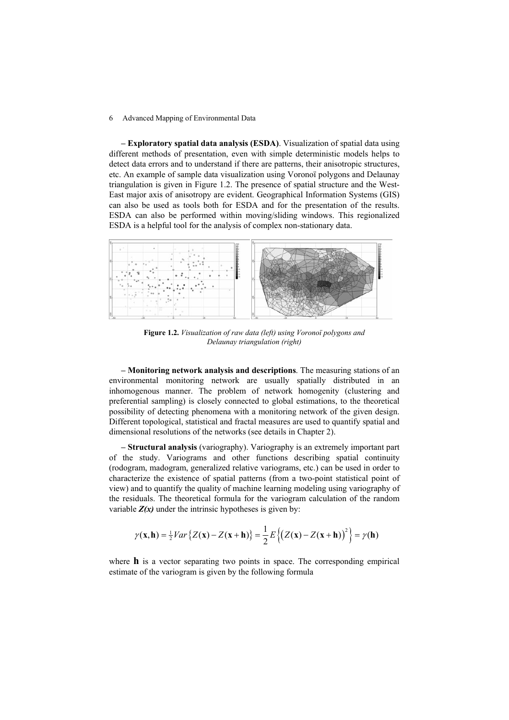**– Exploratory spatial data analysis (ESDA)**. Visualization of spatial data using different methods of presentation, even with simple deterministic models helps to detect data errors and to understand if there are patterns, their anisotropic structures, etc. An example of sample data visualization using Voronoï polygons and Delaunay triangulation is given in Figure 1.2. The presence of spatial structure and the West-East major axis of anisotropy are evident. Geographical Information Systems (GIS) can also be used as tools both for ESDA and for the presentation of the results. ESDA can also be performed within moving/sliding windows. This regionalized ESDA is a helpful tool for the analysis of complex non-stationary data.



**Figure 1.2.** *Visualization of raw data (left) using Voronoï polygons and Delaunay triangulation (right)* 

**– Monitoring network analysis and descriptions**. The measuring stations of an environmental monitoring network are usually spatially distributed in an inhomogenous manner. The problem of network homogenity (clustering and preferential sampling) is closely connected to global estimations, to the theoretical possibility of detecting phenomena with a monitoring network of the given design. Different topological, statistical and fractal measures are used to quantify spatial and dimensional resolutions of the networks (see details in Chapter 2).

**– Structural analysis** (variography). Variography is an extremely important part of the study. Variograms and other functions describing spatial continuity (rodogram, madogram, generalized relative variograms, etc.) can be used in order to characterize the existence of spatial patterns (from a two-point statistical point of view) and to quantify the quality of machine learning modeling using variography of the residuals. The theoretical formula for the variogram calculation of the random variable  $Z(x)$  under the intrinsic hypotheses is given by:

$$
\gamma(\mathbf{x}, \mathbf{h}) = \frac{1}{2}Var\left\{Z(\mathbf{x}) - Z(\mathbf{x} + \mathbf{h})\right\} = \frac{1}{2}E\left\{\left(Z(\mathbf{x}) - Z(\mathbf{x} + \mathbf{h})\right)^2\right\} = \gamma(\mathbf{h})
$$

where **h** is a vector separating two points in space. The corresponding empirical estimate of the variogram is given by the following formula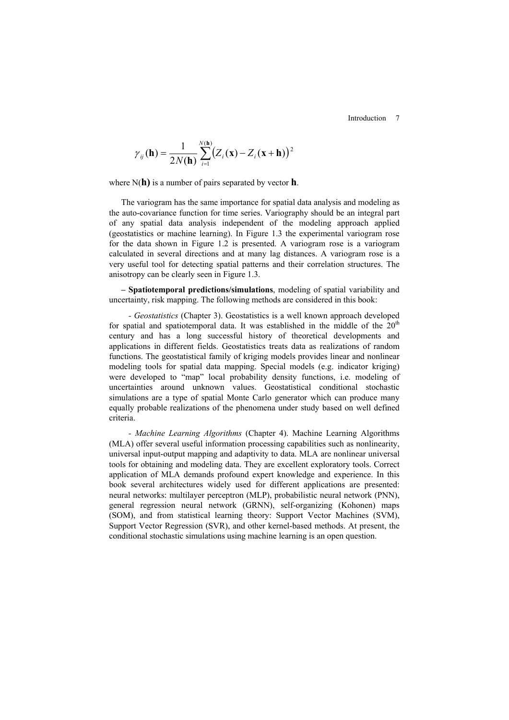$$
\gamma_{ij}(\mathbf{h}) = \frac{1}{2N(\mathbf{h})} \sum_{i=1}^{N(\mathbf{h})} (Z_i(\mathbf{x}) - Z_i(\mathbf{x} + \mathbf{h}))^2
$$

where N(**h)** is a number of pairs separated by vector **h**.

The variogram has the same importance for spatial data analysis and modeling as the auto-covariance function for time series. Variography should be an integral part of any spatial data analysis independent of the modeling approach applied (geostatistics or machine learning). In Figure 1.3 the experimental variogram rose for the data shown in Figure 1.2 is presented. A variogram rose is a variogram calculated in several directions and at many lag distances. A variogram rose is a very useful tool for detecting spatial patterns and their correlation structures. The anisotropy can be clearly seen in Figure 1.3.

**– Spatiotemporal predictions/simulations**, modeling of spatial variability and uncertainty, risk mapping. The following methods are considered in this book:

*- Geostatistics* (Chapter 3). Geostatistics is a well known approach developed for spatial and spatiotemporal data. It was established in the middle of the  $20<sup>th</sup>$ century and has a long successful history of theoretical developments and applications in different fields. Geostatistics treats data as realizations of random functions. The geostatistical family of kriging models provides linear and nonlinear modeling tools for spatial data mapping. Special models (e.g. indicator kriging) were developed to "map" local probability density functions, i.e. modeling of uncertainties around unknown values. Geostatistical conditional stochastic simulations are a type of spatial Monte Carlo generator which can produce many equally probable realizations of the phenomena under study based on well defined criteria.

*- Machine Learning Algorithms* (Chapter 4). Machine Learning Algorithms (MLA) offer several useful information processing capabilities such as nonlinearity, universal input-output mapping and adaptivity to data. MLA are nonlinear universal tools for obtaining and modeling data. They are excellent exploratory tools. Correct application of MLA demands profound expert knowledge and experience. In this book several architectures widely used for different applications are presented: neural networks: multilayer perceptron (MLP), probabilistic neural network (PNN), general regression neural network (GRNN), self-organizing (Kohonen) maps (SOM), and from statistical learning theory: Support Vector Machines (SVM), Support Vector Regression (SVR), and other kernel-based methods. At present, the conditional stochastic simulations using machine learning is an open question.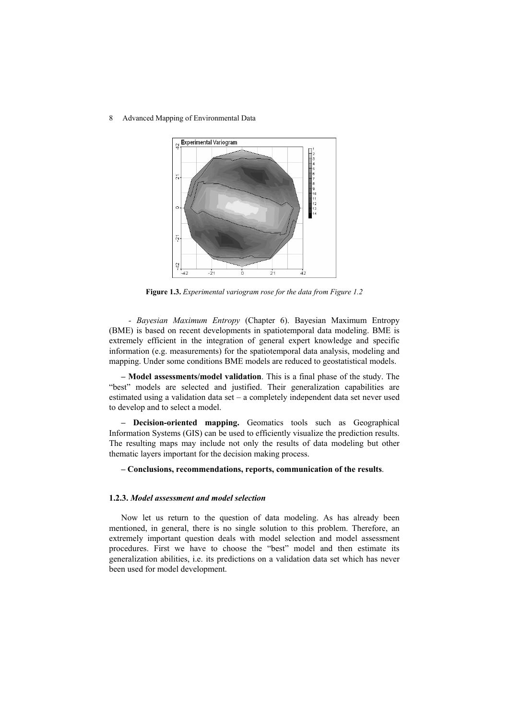8 Advanced Mapping of Environmental Data



**Figure 1.3.** *Experimental variogram rose for the data from Figure 1.2* 

*- Bayesian Maximum Entropy* (Chapter 6). Bayesian Maximum Entropy (BME) is based on recent developments in spatiotemporal data modeling. BME is extremely efficient in the integration of general expert knowledge and specific information (e.g. measurements) for the spatiotemporal data analysis, modeling and mapping. Under some conditions BME models are reduced to geostatistical models.

**– Model assessments/model validation**. This is a final phase of the study. The "best" models are selected and justified. Their generalization capabilities are estimated using a validation data set – a completely independent data set never used to develop and to select a model.

**– Decision-oriented mapping.** Geomatics tools such as Geographical Information Systems (GIS) can be used to efficiently visualize the prediction results. The resulting maps may include not only the results of data modeling but other thematic layers important for the decision making process.

**– Conclusions, recommendations, reports, communication of the results**.

#### **1.2.3.** *Model assessment and model selection*

Now let us return to the question of data modeling. As has already been mentioned, in general, there is no single solution to this problem. Therefore, an extremely important question deals with model selection and model assessment procedures. First we have to choose the "best" model and then estimate its generalization abilities, i.e. its predictions on a validation data set which has never been used for model development.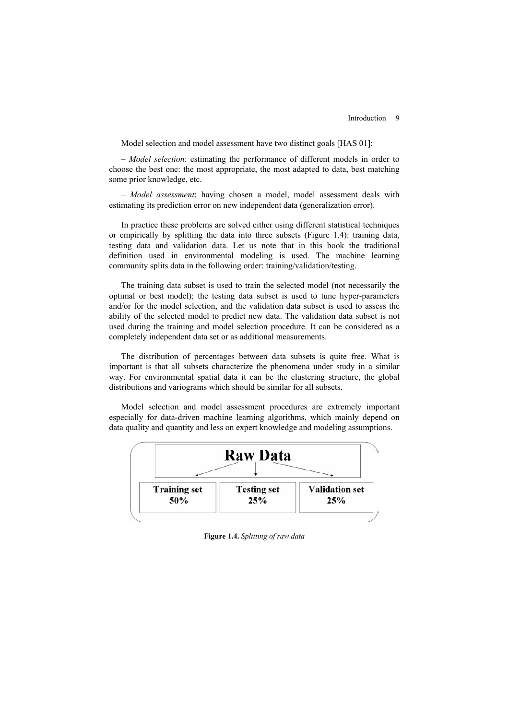Model selection and model assessment have two distinct goals [HAS 01]:

– *Model selection*: estimating the performance of different models in order to choose the best one: the most appropriate, the most adapted to data, best matching some prior knowledge, etc.

– *Model assessment*: having chosen a model, model assessment deals with estimating its prediction error on new independent data (generalization error).

In practice these problems are solved either using different statistical techniques or empirically by splitting the data into three subsets (Figure 1.4): training data, testing data and validation data. Let us note that in this book the traditional definition used in environmental modeling is used. The machine learning community splits data in the following order: training/validation/testing.

The training data subset is used to train the selected model (not necessarily the optimal or best model); the testing data subset is used to tune hyper-parameters and/or for the model selection, and the validation data subset is used to assess the ability of the selected model to predict new data. The validation data subset is not used during the training and model selection procedure. It can be considered as a completely independent data set or as additional measurements.

The distribution of percentages between data subsets is quite free. What is important is that all subsets characterize the phenomena under study in a similar way. For environmental spatial data it can be the clustering structure, the global distributions and variograms which should be similar for all subsets.

Model selection and model assessment procedures are extremely important especially for data-driven machine learning algorithms, which mainly depend on data quality and quantity and less on expert knowledge and modeling assumptions.



**Figure 1.4.** *Splitting of raw data*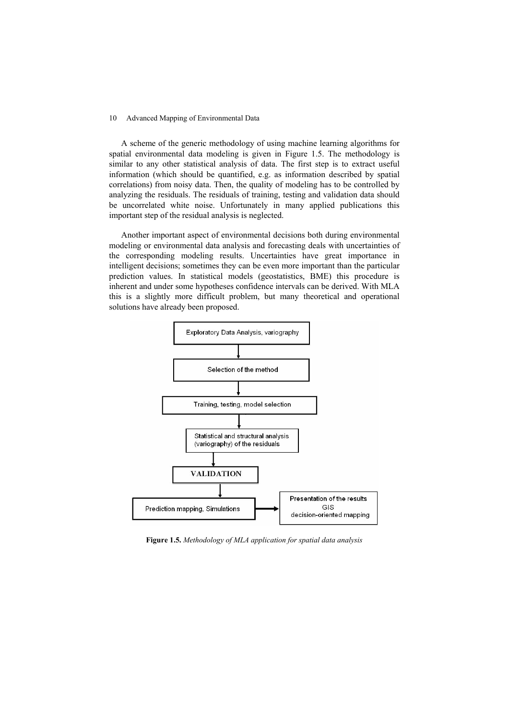A scheme of the generic methodology of using machine learning algorithms for spatial environmental data modeling is given in Figure 1.5. The methodology is similar to any other statistical analysis of data. The first step is to extract useful information (which should be quantified, e.g. as information described by spatial correlations) from noisy data. Then, the quality of modeling has to be controlled by analyzing the residuals. The residuals of training, testing and validation data should be uncorrelated white noise. Unfortunately in many applied publications this important step of the residual analysis is neglected.

Another important aspect of environmental decisions both during environmental modeling or environmental data analysis and forecasting deals with uncertainties of the corresponding modeling results. Uncertainties have great importance in intelligent decisions; sometimes they can be even more important than the particular prediction values. In statistical models (geostatistics, BME) this procedure is inherent and under some hypotheses confidence intervals can be derived. With MLA this is a slightly more difficult problem, but many theoretical and operational solutions have already been proposed.



**Figure 1.5.** *Methodology of MLA application for spatial data analysis*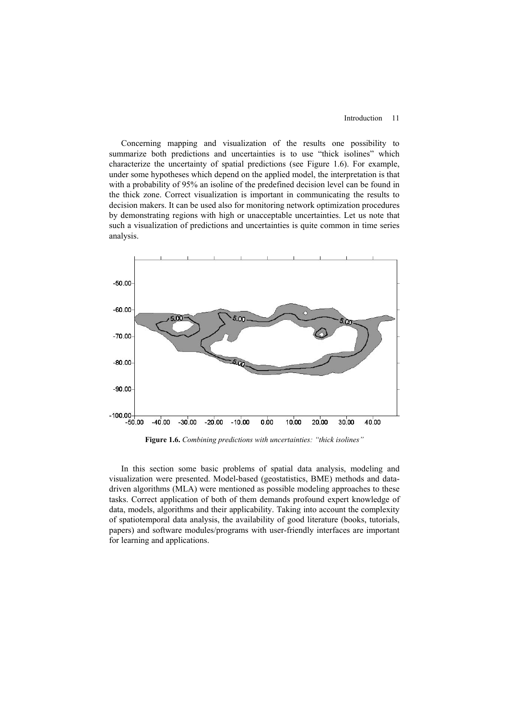#### Introduction 11

Concerning mapping and visualization of the results one possibility to summarize both predictions and uncertainties is to use "thick isolines" which characterize the uncertainty of spatial predictions (see Figure 1.6). For example, under some hypotheses which depend on the applied model, the interpretation is that with a probability of 95% an isoline of the predefined decision level can be found in the thick zone. Correct visualization is important in communicating the results to decision makers. It can be used also for monitoring network optimization procedures by demonstrating regions with high or unacceptable uncertainties. Let us note that such a visualization of predictions and uncertainties is quite common in time series analysis.



**Figure 1.6.** *Combining predictions with uncertainties: "thick isolines"*

In this section some basic problems of spatial data analysis, modeling and visualization were presented. Model-based (geostatistics, BME) methods and datadriven algorithms (MLA) were mentioned as possible modeling approaches to these tasks. Correct application of both of them demands profound expert knowledge of data, models, algorithms and their applicability. Taking into account the complexity of spatiotemporal data analysis, the availability of good literature (books, tutorials, papers) and software modules/programs with user-friendly interfaces are important for learning and applications.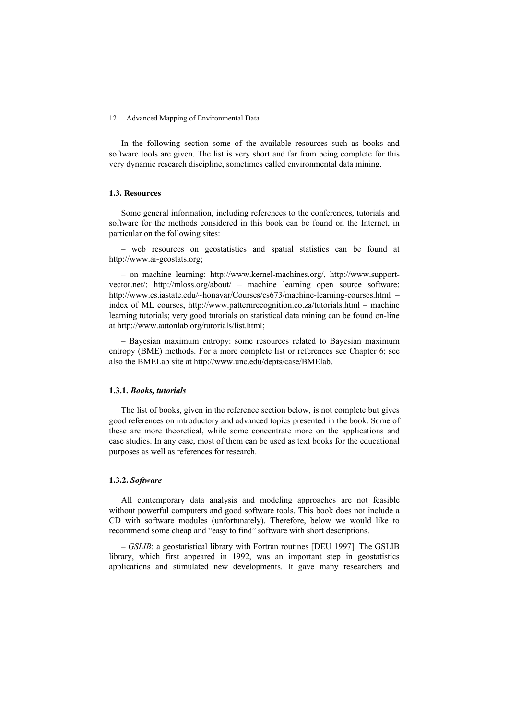In the following section some of the available resources such as books and software tools are given. The list is very short and far from being complete for this very dynamic research discipline, sometimes called environmental data mining.

# **1.3. Resources**

Some general information, including references to the conferences, tutorials and software for the methods considered in this book can be found on the Internet, in particular on the following sites:

– web resources on geostatistics and spatial statistics can be found at http://www.ai-geostats.org;

– on machine learning: http://www.kernel-machines.org/, http://www.supportvector.net/; http://mloss.org/about/ – machine learning open source software; http://www.cs.iastate.edu/~honavar/Courses/cs673/machine-learning-courses.html – index of ML courses, http://www.patternrecognition.co.za/tutorials.html – machine learning tutorials; very good tutorials on statistical data mining can be found on-line at http://www.autonlab.org/tutorials/list.html;

– Bayesian maximum entropy: some resources related to Bayesian maximum entropy (BME) methods. For a more complete list or references see Chapter 6; see also the BMELab site at http://www.unc.edu/depts/case/BMElab.

#### **1.3.1.** *Books, tutorials*

The list of books, given in the reference section below, is not complete but gives good references on introductory and advanced topics presented in the book. Some of these are more theoretical, while some concentrate more on the applications and case studies. In any case, most of them can be used as text books for the educational purposes as well as references for research.

# **1.3.2.** *Software*

All contemporary data analysis and modeling approaches are not feasible without powerful computers and good software tools. This book does not include a CD with software modules (unfortunately). Therefore, below we would like to recommend some cheap and "easy to find" software with short descriptions.

**–** *GSLIB*: a geostatistical library with Fortran routines [DEU 1997]. The GSLIB library, which first appeared in 1992, was an important step in geostatistics applications and stimulated new developments. It gave many researchers and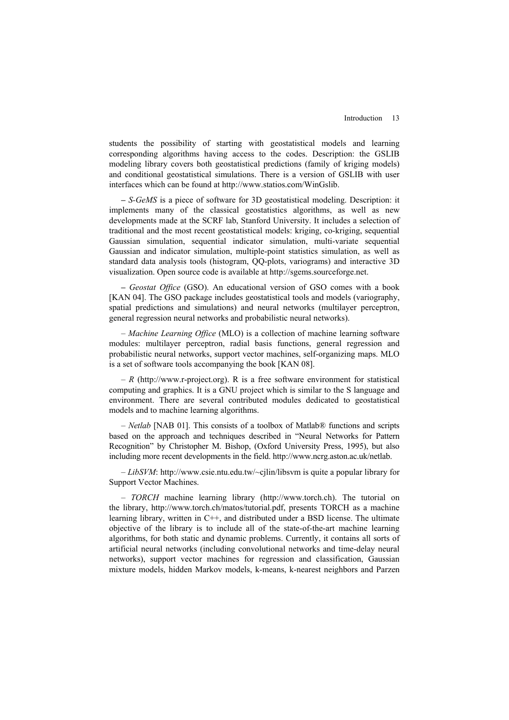students the possibility of starting with geostatistical models and learning corresponding algorithms having access to the codes. Description: the GSLIB modeling library covers both geostatistical predictions (family of kriging models) and conditional geostatistical simulations. There is a version of GSLIB with user interfaces which can be found at http://www.statios.com/WinGslib.

**–** *S-GeMS* is a piece of software for 3D geostatistical modeling. Description: it implements many of the classical geostatistics algorithms, as well as new developments made at the SCRF lab, Stanford University. It includes a selection of traditional and the most recent geostatistical models: kriging, co-kriging, sequential Gaussian simulation, sequential indicator simulation, multi-variate sequential Gaussian and indicator simulation, multiple-point statistics simulation, as well as standard data analysis tools (histogram, QQ-plots, variograms) and interactive 3D visualization. Open source code is available at http://sgems.sourceforge.net.

**–** *Geostat Office* (GSO). An educational version of GSO comes with a book [KAN 04]. The GSO package includes geostatistical tools and models (variography, spatial predictions and simulations) and neural networks (multilayer perceptron, general regression neural networks and probabilistic neural networks).

– *Machine Learning Office* (MLO) is a collection of machine learning software modules: multilayer perceptron, radial basis functions, general regression and probabilistic neural networks, support vector machines, self-organizing maps. MLO is a set of software tools accompanying the book [KAN 08].

 $-R$  (http://www.r-project.org). R is a free software environment for statistical computing and graphics. It is a GNU project which is similar to the S language and environment. There are several contributed modules dedicated to geostatistical models and to machine learning algorithms.

– *Netlab* [NAB 01]. This consists of a toolbox of Matlab® functions and scripts based on the approach and techniques described in "Neural Networks for Pattern Recognition" by Christopher M. Bishop, (Oxford University Press, 1995), but also including more recent developments in the field. http://www.ncrg.aston.ac.uk/netlab.

– *LibSVM*: http://www.csie.ntu.edu.tw/~cjlin/libsvm is quite a popular library for Support Vector Machines.

– *TORCH* machine learning library (http://www.torch.ch). The tutorial on the library, http://www.torch.ch/matos/tutorial.pdf, presents TORCH as a machine learning library, written in C++, and distributed under a BSD license. The ultimate objective of the library is to include all of the state-of-the-art machine learning algorithms, for both static and dynamic problems. Currently, it contains all sorts of artificial neural networks (including convolutional networks and time-delay neural networks), support vector machines for regression and classification, Gaussian mixture models, hidden Markov models, k-means, k-nearest neighbors and Parzen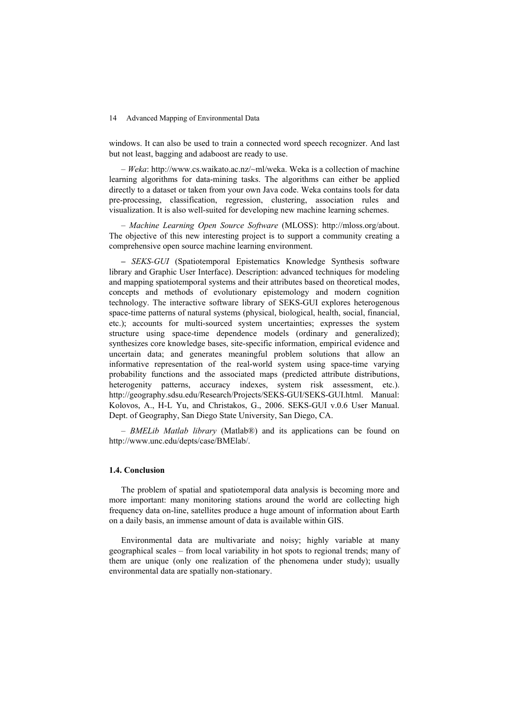windows. It can also be used to train a connected word speech recognizer. And last but not least, bagging and adaboost are ready to use.

– *Weka*: http://www.cs.waikato.ac.nz/~ml/weka. Weka is a collection of machine learning algorithms for data-mining tasks. The algorithms can either be applied directly to a dataset or taken from your own Java code. Weka contains tools for data pre-processing, classification, regression, clustering, association rules and visualization. It is also well-suited for developing new machine learning schemes.

– *Machine Learning Open Source Software* (MLOSS): http://mloss.org/about. The objective of this new interesting project is to support a community creating a comprehensive open source machine learning environment.

**–** *SEKS-GUI* (Spatiotemporal Epistematics Knowledge Synthesis software library and Graphic User Interface). Description: advanced techniques for modeling and mapping spatiotemporal systems and their attributes based on theoretical modes, concepts and methods of evolutionary epistemology and modern cognition technology. The interactive software library of SEKS-GUI explores heterogenous space-time patterns of natural systems (physical, biological, health, social, financial, etc.); accounts for multi-sourced system uncertainties; expresses the system structure using space-time dependence models (ordinary and generalized); synthesizes core knowledge bases, site-specific information, empirical evidence and uncertain data; and generates meaningful problem solutions that allow an informative representation of the real-world system using space-time varying probability functions and the associated maps (predicted attribute distributions, heterogenity patterns, accuracy indexes, system risk assessment, etc.). http://geography.sdsu.edu/Research/Projects/SEKS-GUI/SEKS-GUI.html. Manual: Kolovos, A., H-L Yu, and Christakos, G., 2006. SEKS-GUI v.0.6 User Manual. Dept. of Geography, San Diego State University, San Diego, CA.

– *BMELib Matlab library* (Matlab®) and its applications can be found on http://www.unc.edu/depts/case/BMElab/.

#### **1.4. Conclusion**

The problem of spatial and spatiotemporal data analysis is becoming more and more important: many monitoring stations around the world are collecting high frequency data on-line, satellites produce a huge amount of information about Earth on a daily basis, an immense amount of data is available within GIS.

Environmental data are multivariate and noisy; highly variable at many geographical scales – from local variability in hot spots to regional trends; many of them are unique (only one realization of the phenomena under study); usually environmental data are spatially non-stationary.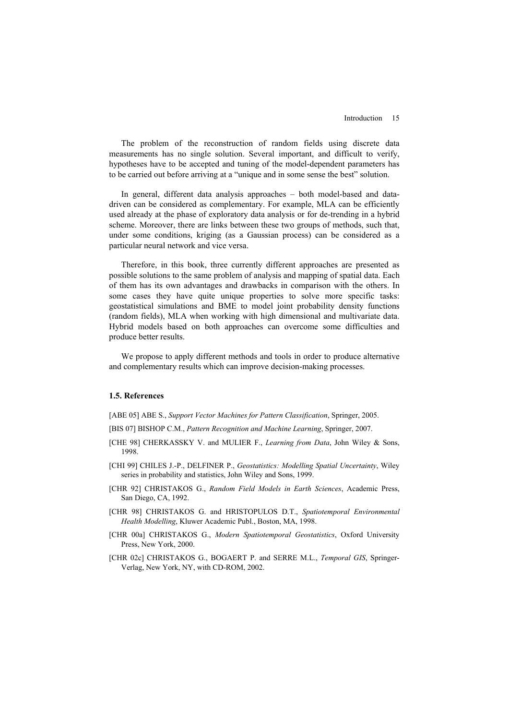The problem of the reconstruction of random fields using discrete data measurements has no single solution. Several important, and difficult to verify, hypotheses have to be accepted and tuning of the model-dependent parameters has to be carried out before arriving at a "unique and in some sense the best" solution.

In general, different data analysis approaches – both model-based and datadriven can be considered as complementary. For example, MLA can be efficiently used already at the phase of exploratory data analysis or for de-trending in a hybrid scheme. Moreover, there are links between these two groups of methods, such that, under some conditions, kriging (as a Gaussian process) can be considered as a particular neural network and vice versa.

Therefore, in this book, three currently different approaches are presented as possible solutions to the same problem of analysis and mapping of spatial data. Each of them has its own advantages and drawbacks in comparison with the others. In some cases they have quite unique properties to solve more specific tasks: geostatistical simulations and BME to model joint probability density functions (random fields), MLA when working with high dimensional and multivariate data. Hybrid models based on both approaches can overcome some difficulties and produce better results.

We propose to apply different methods and tools in order to produce alternative and complementary results which can improve decision-making processes.

#### **1.5. References**

[ABE 05] ABE S., *Support Vector Machines for Pattern Classification*, Springer, 2005.

- [BIS 07] BISHOP C.M., *Pattern Recognition and Machine Learning*, Springer, 2007.
- [CHE 98] CHERKASSKY V. and MULIER F., *Learning from Data*, John Wiley & Sons, 1998.
- [CHI 99] CHILES J.-P., DELFINER P., *Geostatistics: Modelling Spatial Uncertainty*, Wiley series in probability and statistics, John Wiley and Sons, 1999.
- [CHR 92] CHRISTAKOS G., *Random Field Models in Earth Sciences*, Academic Press, San Diego, CA, 1992.
- [CHR 98] CHRISTAKOS G. and HRISTOPULOS D.T., *Spatiotemporal Environmental Health Modelling*, Kluwer Academic Publ., Boston, MA, 1998.
- [CHR 00a] CHRISTAKOS G., *Modern Spatiotemporal Geostatistics*, Oxford University Press, New York, 2000.
- [CHR 02c] CHRISTAKOS G., BOGAERT P. and SERRE M.L., *Temporal GIS*, Springer-Verlag, New York, NY, with CD-ROM, 2002.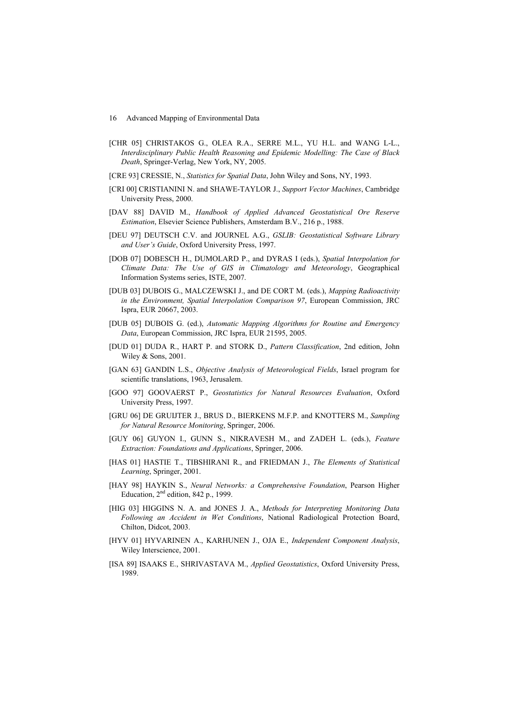- 16 Advanced Mapping of Environmental Data
- [CHR 05] CHRISTAKOS G., OLEA R.A., SERRE M.L., YU H.L. and WANG L-L., *Interdisciplinary Public Health Reasoning and Epidemic Modelling: The Case of Black Death*, Springer-Verlag, New York, NY, 2005.
- [CRE 93] CRESSIE, N., *Statistics for Spatial Data*, John Wiley and Sons, NY, 1993.
- [CRI 00] CRISTIANINI N. and SHAWE-TAYLOR J., *Support Vector Machines*, Cambridge University Press, 2000.
- [DAV 88] DAVID M., *Handbook of Applied Advanced Geostatistical Ore Reserve Estimation*, Elsevier Science Publishers, Amsterdam B.V., 216 p., 1988.
- [DEU 97] DEUTSCH C.V. and JOURNEL A.G., *GSLIB: Geostatistical Software Library and User's Guide*, Oxford University Press, 1997.
- [DOB 07] DOBESCH H., DUMOLARD P., and DYRAS I (eds.), *Spatial Interpolation for Climate Data: The Use of GIS in Climatology and Meteorology*, Geographical Information Systems series, ISTE, 2007.
- [DUB 03] DUBOIS G., MALCZEWSKI J., and DE CORT M. (eds.), *Mapping Radioactivity in the Environment, Spatial Interpolation Comparison 97*, European Commission, JRC Ispra, EUR 20667, 2003.
- [DUB 05] DUBOIS G. (ed.), *Automatic Mapping Algorithms for Routine and Emergency Data*, European Commission, JRC Ispra, EUR 21595, 2005.
- [DUD 01] DUDA R., HART P. and STORK D., *Pattern Classification*, 2nd edition, John Wiley & Sons, 2001.
- [GAN 63] GANDIN L.S., *Objective Analysis of Meteorological Fields*, Israel program for scientific translations, 1963, Jerusalem.
- [GOO 97] GOOVAERST P., *Geostatistics for Natural Resources Evaluation*, Oxford University Press, 1997.
- [GRU 06] DE GRUIJTER J., BRUS D., BIERKENS M.F.P. and KNOTTERS M., *Sampling for Natural Resource Monitoring*, Springer, 2006.
- [GUY 06] GUYON I., GUNN S., NIKRAVESH M., and ZADEH L. (eds.), *Feature Extraction: Foundations and Applications*, Springer, 2006.
- [HAS 01] HASTIE T., TIBSHIRANI R., and FRIEDMAN J., *The Elements of Statistical Learning*, Springer, 2001.
- [HAY 98] HAYKIN S., *Neural Networks: a Comprehensive Foundation*, Pearson Higher Education,  $2<sup>nd</sup>$  edition, 842 p., 1999.
- [HIG 03] HIGGINS N. A. and JONES J. A., *Methods for Interpreting Monitoring Data Following an Accident in Wet Conditions*, National Radiological Protection Board, Chilton, Didcot, 2003.
- [HYV 01] HYVARINEN A., KARHUNEN J., OJA E., *Independent Component Analysis*, Wiley Interscience, 2001.
- [ISA 89] ISAAKS E., SHRIVASTAVA M., *Applied Geostatistics*, Oxford University Press, 1989.